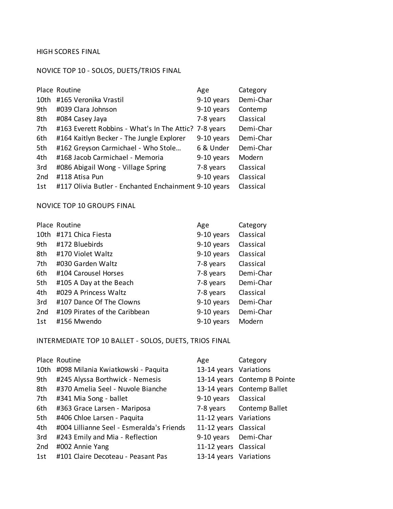HIGH SCORES FINAL

#### NOVICE TOP 10 - SOLOS, DUETS/TRIOS FINAL

|      | Place Routine                                         | Age        | Category  |
|------|-------------------------------------------------------|------------|-----------|
| 10th | #165 Veronika Vrastil                                 | 9-10 years | Demi-Char |
| 9th  | #039 Clara Johnson                                    | 9-10 years | Contemp   |
| 8th  | #084 Casey Jaya                                       | 7-8 years  | Classical |
| 7th  | #163 Everett Robbins - What's In The Attic? 7-8 years |            | Demi-Char |
| 6th  | #164 Kaitlyn Becker - The Jungle Explorer             | 9-10 years | Demi-Char |
| 5th  | #162 Greyson Carmichael - Who Stole                   | 6 & Under  | Demi-Char |
| 4th  | #168 Jacob Carmichael - Memoria                       | 9-10 years | Modern    |
| 3rd  | #086 Abigail Wong - Village Spring                    | 7-8 years  | Classical |
| 2nd  | #118 Atisa Pun                                        | 9-10 years | Classical |
| 1st  | #117 Olivia Butler - Enchanted Enchainment 9-10 years |            | Classical |

NOVICE TOP 10 GROUPS FINAL

|      | Place Routine                 | Age        | Category  |
|------|-------------------------------|------------|-----------|
| 10th | #171 Chica Fiesta             | 9-10 years | Classical |
| 9th  | #172 Bluebirds                | 9-10 years | Classical |
| 8th  | #170 Violet Waltz             | 9-10 years | Classical |
| 7th  | #030 Garden Waltz             | 7-8 years  | Classical |
| 6th  | #104 Carousel Horses          | 7-8 years  | Demi-Char |
| 5th  | #105 A Day at the Beach       | 7-8 years  | Demi-Char |
| 4th  | #029 A Princess Waltz         | 7-8 years  | Classical |
| 3rd  | #107 Dance Of The Clowns      | 9-10 years | Demi-Char |
| 2nd  | #109 Pirates of the Caribbean | 9-10 years | Demi-Char |
| 1st  | #156 Mwendo                   | 9-10 years | Modern    |

INTERMEDIATE TOP 10 BALLET - SOLOS, DUETS, TRIOS FINAL

|     | Place Routine                             | Age                    | Category                     |
|-----|-------------------------------------------|------------------------|------------------------------|
|     | 10th #098 Milania Kwiatkowski - Paquita   | 13-14 years Variations |                              |
| 9th | #245 Alyssa Borthwick - Nemesis           |                        | 13-14 years Contemp B Pointe |
| 8th | #370 Amelia Seel - Nuvole Bianche         |                        | 13-14 years Contemp Ballet   |
| 7th | #341 Mia Song - ballet                    | 9-10 years Classical   |                              |
| 6th | #363 Grace Larsen - Mariposa              |                        | 7-8 years Contemp Ballet     |
| 5th | #406 Chloe Larsen - Paquita               | 11-12 years Variations |                              |
| 4th | #004 Lillianne Seel - Esmeralda's Friends | 11-12 years Classical  |                              |
| 3rd | #243 Emily and Mia - Reflection           | 9-10 years Demi-Char   |                              |
| 2nd | #002 Annie Yang                           | 11-12 years Classical  |                              |
| 1st | #101 Claire Decoteau - Peasant Pas        | 13-14 years Variations |                              |
|     |                                           |                        |                              |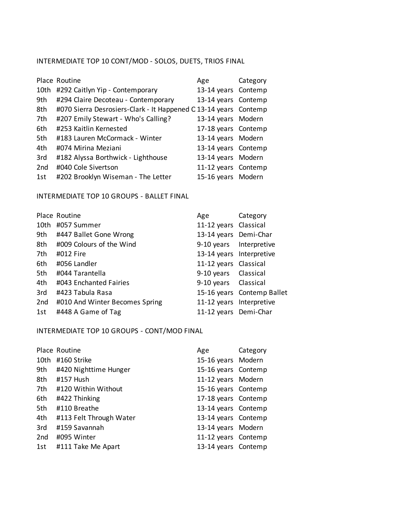## INTERMEDIATE TOP 10 CONT/MOD - SOLOS, DUETS, TRIOS FINAL

|                 | Place Routine                                                    | Age                 | Category |
|-----------------|------------------------------------------------------------------|---------------------|----------|
| 10th            | #292 Caitlyn Yip - Contemporary                                  | 13-14 years Contemp |          |
| 9th             | #294 Claire Decoteau - Contemporary                              | 13-14 years Contemp |          |
| 8th             | #070 Sierra Desrosiers-Clark - It Happened C 13-14 years Contemp |                     |          |
| 7th             | #207 Emily Stewart - Who's Calling?                              | 13-14 years Modern  |          |
| 6th             | #253 Kaitlin Kernested                                           | 17-18 years Contemp |          |
| 5th             | #183 Lauren McCormack - Winter                                   | 13-14 years Modern  |          |
| 4th             | #074 Mirina Meziani                                              | 13-14 years Contemp |          |
| 3rd             | #182 Alyssa Borthwick - Lighthouse                               | 13-14 years Modern  |          |
| 2 <sub>nd</sub> | #040 Cole Sivertson                                              | 11-12 years Contemp |          |
| 1st             | #202 Brooklyn Wiseman - The Letter                               | 15-16 years Modern  |          |

#### INTERMEDIATE TOP 10 GROUPS - BALLET FINAL

|     | Place Routine                  | Age                      | Category                   |
|-----|--------------------------------|--------------------------|----------------------------|
|     | 10th #057 Summer               | 11-12 years Classical    |                            |
|     | 9th #447 Ballet Gone Wrong     | 13-14 years Demi-Char    |                            |
|     | 8th #009 Colours of the Wind   | 9-10 years Interpretive  |                            |
| 7th | #012 Fire                      | 13-14 years Interpretive |                            |
| 6th | #056 Landler                   | 11-12 years Classical    |                            |
| 5th | #044 Tarantella                | 9-10 years Classical     |                            |
| 4th | #043 Enchanted Fairies         | 9-10 years Classical     |                            |
| 3rd | #423 Tabula Rasa               |                          | 15-16 years Contemp Ballet |
| 2nd | #010 And Winter Becomes Spring | 11-12 years Interpretive |                            |
| 1st | #448 A Game of Tag             | 11-12 years Demi-Char    |                            |

INTERMEDIATE TOP 10 GROUPS - CONT/MOD FINAL

|      | Place Routine           | Age                 | Category |
|------|-------------------------|---------------------|----------|
| 10th | #160 Strike             | 15-16 years Modern  |          |
| 9th  | #420 Nighttime Hunger   | 15-16 years Contemp |          |
| 8th  | #157 Hush               | 11-12 years Modern  |          |
| 7th  | #120 Within Without     | 15-16 years Contemp |          |
| 6th  | #422 Thinking           | 17-18 years Contemp |          |
| 5th  | #110 Breathe            | 13-14 years Contemp |          |
| 4th  | #113 Felt Through Water | 13-14 years Contemp |          |
| 3rd  | #159 Savannah           | 13-14 years Modern  |          |
| 2nd  | #095 Winter             | 11-12 years Contemp |          |
| 1st  | #111 Take Me Apart      | 13-14 years Contemp |          |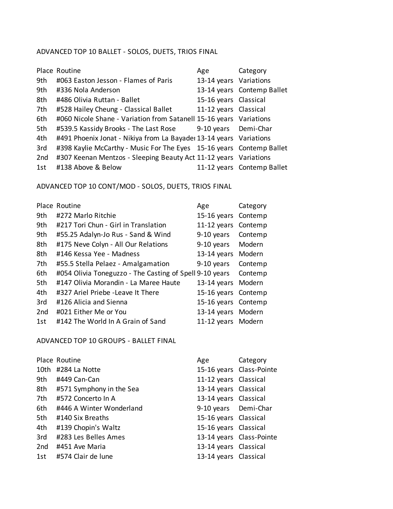## ADVANCED TOP 10 BALLET - SOLOS, DUETS, TRIOS FINAL

|     | Place Routine                                                        | Age                    | Category                   |
|-----|----------------------------------------------------------------------|------------------------|----------------------------|
| 9th | #063 Easton Jesson - Flames of Paris                                 | 13-14 years Variations |                            |
| 9th | #336 Nola Anderson                                                   |                        | 13-14 years Contemp Ballet |
| 8th | #486 Olivia Ruttan - Ballet                                          | 15-16 years Classical  |                            |
| 7th | #528 Hailey Cheung - Classical Ballet                                | 11-12 years Classical  |                            |
| 6th | #060 Nicole Shane - Variation from Satanell 15-16 years Variations   |                        |                            |
| 5th | #539.5 Kassidy Brooks - The Last Rose 9-10 years Demi-Char           |                        |                            |
| 4th | #491 Phoenix Jonat - Nikiya from La Bayader 13-14 years Variations   |                        |                            |
| 3rd | #398 Kaylie McCarthy - Music For The Eyes 15-16 years Contemp Ballet |                        |                            |
| 2nd | #307 Keenan Mentzos - Sleeping Beauty Act 11-12 years Variations     |                        |                            |
| 1st | #138 Above & Below                                                   |                        | 11-12 years Contemp Ballet |

# ADVANCED TOP 10 CONT/MOD - SOLOS, DUETS, TRIOS FINAL

|     | Place Routine                                           | Age                 | Category |
|-----|---------------------------------------------------------|---------------------|----------|
| 9th | #272 Marlo Ritchie                                      | 15-16 years Contemp |          |
| 9th | #217 Tori Chun - Girl in Translation                    | 11-12 years Contemp |          |
| 9th | #55.25 Adalyn-Jo Rus - Sand & Wind                      | 9-10 years          | Contemp  |
| 8th | #175 Neve Colyn - All Our Relations                     | 9-10 years          | Modern   |
| 8th | #146 Kessa Yee - Madness                                | 13-14 years Modern  |          |
| 7th | #55.5 Stella Pelaez - Amalgamation                      | 9-10 years          | Contemp  |
| 6th | #054 Olivia Toneguzzo - The Casting of Spell 9-10 years |                     | Contemp  |
| 5th | #147 Olivia Morandin - La Maree Haute                   | 13-14 years Modern  |          |
| 4th | #327 Ariel Priebe - Leave It There                      | 15-16 years Contemp |          |
| 3rd | #126 Alicia and Sienna                                  | 15-16 years Contemp |          |
| 2nd | #021 Either Me or You                                   | 13-14 years Modern  |          |
| 1st | #142 The World In A Grain of Sand                       | 11-12 years Modern  |          |

### ADVANCED TOP 10 GROUPS - BALLET FINAL

|     | Place Routine                | Age                   | Category                 |
|-----|------------------------------|-----------------------|--------------------------|
|     | 10th #284 La Notte           |                       | 15-16 years Class-Pointe |
|     | 9th #449 Can-Can             | 11-12 years Classical |                          |
|     | 8th #571 Symphony in the Sea | 13-14 years Classical |                          |
| 7th | #572 Concerto In A           | 13-14 years Classical |                          |
| 6th | #446 A Winter Wonderland     | 9-10 years Demi-Char  |                          |
| 5th | #140 Six Breaths             | 15-16 years Classical |                          |
| 4th | #139 Chopin's Waltz          | 15-16 years Classical |                          |
| 3rd | #283 Les Belles Ames         |                       | 13-14 years Class-Pointe |
| 2nd | #451 Ave Maria               | 13-14 years Classical |                          |
|     | 1st #574 Clair de lune       | 13-14 years Classical |                          |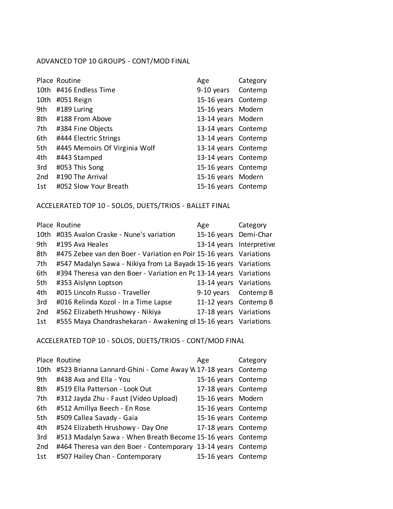## ADVANCED TOP 10 GROUPS - CONT/MOD FINAL

|                 | Place Routine                 | Age                 | Category |
|-----------------|-------------------------------|---------------------|----------|
|                 | 10th #416 Endless Time        | 9-10 years Contemp  |          |
| 10th            | #051 Reign                    | 15-16 years Contemp |          |
| 9th             | #189 Luring                   | 15-16 years Modern  |          |
| 8th             | #188 From Above               | 13-14 years Modern  |          |
| 7th             | #384 Fine Objects             | 13-14 years Contemp |          |
| 6th             | #444 Electric Strings         | 13-14 years Contemp |          |
| 5th             | #445 Memoirs Of Virginia Wolf | 13-14 years Contemp |          |
| 4th             | #443 Stamped                  | 13-14 years Contemp |          |
| 3rd             | #053 This Song                | 15-16 years Contemp |          |
| 2 <sub>nd</sub> | #190 The Arrival              | 15-16 years Modern  |          |
| 1st             | #052 Slow Your Breath         | 15-16 years Contemp |          |

#### ACCELERATED TOP 10 - SOLOS, DUETS/TRIOS - BALLET FINAL

|      | Place Routine                                                      | Age                      | Category |
|------|--------------------------------------------------------------------|--------------------------|----------|
| 10th | #035 Avalon Craske - Nune's variation                              | 15-16 years Demi-Char    |          |
| 9th  | #195 Ava Heales                                                    | 13-14 years Interpretive |          |
| 8th  | #475 Zebee van den Boer - Variation en Poir 15-16 years Variations |                          |          |
| 7th  | #547 Madalyn Sawa - Nikiya from La Bayade 15-16 years Variations   |                          |          |
| 6th  | #394 Theresa van den Boer - Variation en Pc 13-14 years Variations |                          |          |
| 5th  | #353 Aislynn Loptson                                               | 13-14 years Variations   |          |
| 4th  | #015 Lincoln Russo - Traveller                                     | 9-10 years Contemp B     |          |
| 3rd  | #016 Relinda Kozol - In a Time Lapse                               | 11-12 years Contemp B    |          |
| 2nd  | #562 Elizabeth Hrushowy - Nikiya                                   | 17-18 years Variations   |          |
| 1st  | #555 Maya Chandrashekaran - Awakening of 15-16 years Variations    |                          |          |
|      |                                                                    |                          |          |

## ACCELERATED TOP 10 - SOLOS, DUETS/TRIOS - CONT/MOD FINAL

|      | Place Routine                                                | Age                 | Category |
|------|--------------------------------------------------------------|---------------------|----------|
| 10th | #523 Brianna Lannard-Ghini - Come Away W 17-18 years Contemp |                     |          |
| 9th  | #438 Ava and Ella - You                                      | 15-16 years Contemp |          |
| 8th  | #519 Ella Patterson - Look Out                               | 17-18 years Contemp |          |
| 7th  | #312 Jayda Zhu - Faust (Video Upload)                        | 15-16 years Modern  |          |
| 6th  | #512 Amillya Beech - En Rose                                 | 15-16 years Contemp |          |
| 5th  | #509 Callea Savady - Gaia                                    | 15-16 years Contemp |          |
| 4th  | #524 Elizabeth Hrushowy - Day One                            | 17-18 years Contemp |          |
| 3rd  | #513 Madalyn Sawa - When Breath Become 15-16 years Contemp   |                     |          |
| 2nd  | #464 Theresa van den Boer - Contemporary 13-14 years Contemp |                     |          |
| 1st  | #507 Hailey Chan - Contemporary                              | 15-16 years Contemp |          |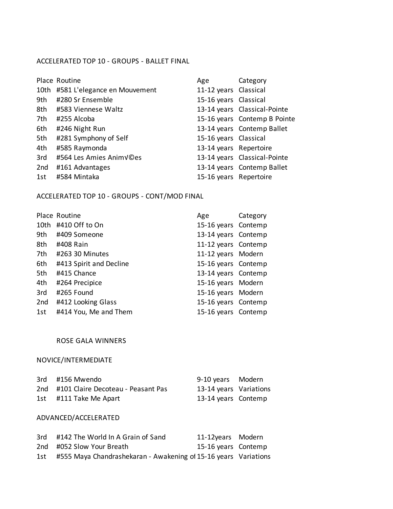### ACCELERATED TOP 10 - GROUPS - BALLET FINAL

|     | Place Routine                     | Age                    | Category                     |
|-----|-----------------------------------|------------------------|------------------------------|
|     | 10th #581 L'elegance en Mouvement | 11-12 years Classical  |                              |
| 9th | #280 Sr Ensemble                  | 15-16 years Classical  |                              |
|     | 8th #583 Viennese Waltz           |                        | 13-14 years Classical-Pointe |
| 7th | #255 Alcoba                       |                        | 15-16 years Contemp B Pointe |
| 6th | #246 Night Run                    |                        | 13-14 years Contemp Ballet   |
| 5th | #281 Symphony of Self             | 15-16 years Classical  |                              |
| 4th | #585 Raymonda                     | 13-14 years Repertoire |                              |
| 3rd | #564 Les Amies Animv©es           |                        | 13-14 years Classical-Pointe |
| 2nd | #161 Advantages                   |                        | 13-14 years Contemp Ballet   |
| 1st | #584 Mintaka                      | 15-16 years Repertoire |                              |

## ACCELERATED TOP 10 - GROUPS - CONT/MOD FINAL

|                 | Place Routine           | Age                 | Category |
|-----------------|-------------------------|---------------------|----------|
| 10th            | #410 Off to On          | 15-16 years Contemp |          |
| 9th             | #409 Someone            | 13-14 years Contemp |          |
| 8th             | #408 Rain               | 11-12 years Contemp |          |
| 7th             | #263 30 Minutes         | 11-12 years Modern  |          |
| 6th             | #413 Spirit and Decline | 15-16 years Contemp |          |
| 5th             | #415 Chance             | 13-14 years Contemp |          |
| 4th             | #264 Precipice          | 15-16 years Modern  |          |
| 3rd             | #265 Found              | 15-16 years Modern  |          |
| 2 <sub>nd</sub> | #412 Looking Glass      | 15-16 years Contemp |          |
| 1st             | #414 You, Me and Them   | 15-16 years Contemp |          |

#### ROSE GALA WINNERS

## NOVICE/INTERMEDIATE

| 3rd #156 Mwendo                        | 9-10 years Modern      |  |
|----------------------------------------|------------------------|--|
| 2nd #101 Claire Decoteau - Peasant Pas | 13-14 years Variations |  |
| 1st #111 Take Me Apart                 | 13-14 years Contemp    |  |

### ADVANCED/ACCELERATED

| 3rd | #142 The World In A Grain of Sand                                   | 11-12years Modern   |  |
|-----|---------------------------------------------------------------------|---------------------|--|
|     | 2nd #052 Slow Your Breath                                           | 15-16 years Contemp |  |
|     | 1st #555 Maya Chandrashekaran - Awakening of 15-16 years Variations |                     |  |